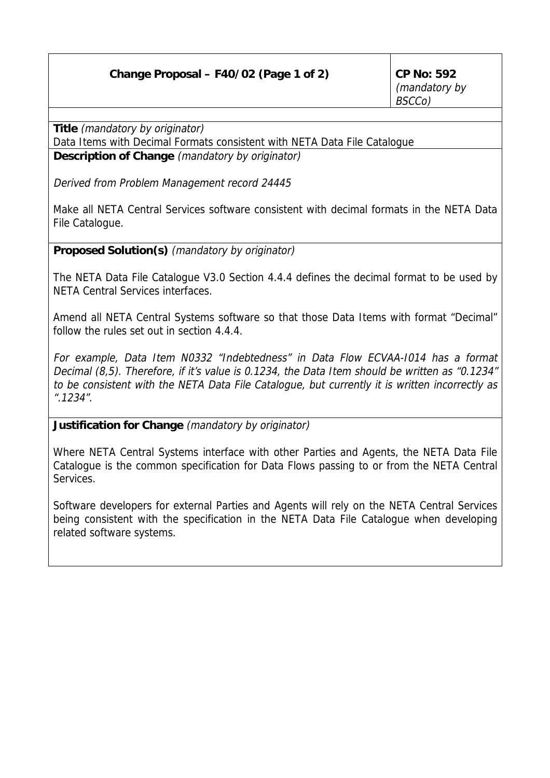## **Change Proposal – F40/02 (Page 1 of 2) CP No: 592**

**Title** (mandatory by originator) Data Items with Decimal Formats consistent with NETA Data File Catalogue **Description of Change** (mandatory by originator)

Derived from Problem Management record 24445

Make all NETA Central Services software consistent with decimal formats in the NETA Data File Catalogue.

**Proposed Solution(s)** (mandatory by originator)

The NETA Data File Catalogue V3.0 Section 4.4.4 defines the decimal format to be used by NETA Central Services interfaces.

Amend all NETA Central Systems software so that those Data Items with format "Decimal" follow the rules set out in section 4.4.4.

For example, Data Item N0332 "Indebtedness" in Data Flow ECVAA-I014 has a format Decimal (8,5). Therefore, if it's value is 0.1234, the Data Item should be written as "0.1234" to be consistent with the NETA Data File Catalogue, but currently it is written incorrectly as ".1234".

**Justification for Change** (mandatory by originator)

Where NETA Central Systems interface with other Parties and Agents, the NETA Data File Catalogue is the common specification for Data Flows passing to or from the NETA Central Services.

Software developers for external Parties and Agents will rely on the NETA Central Services being consistent with the specification in the NETA Data File Catalogue when developing related software systems.